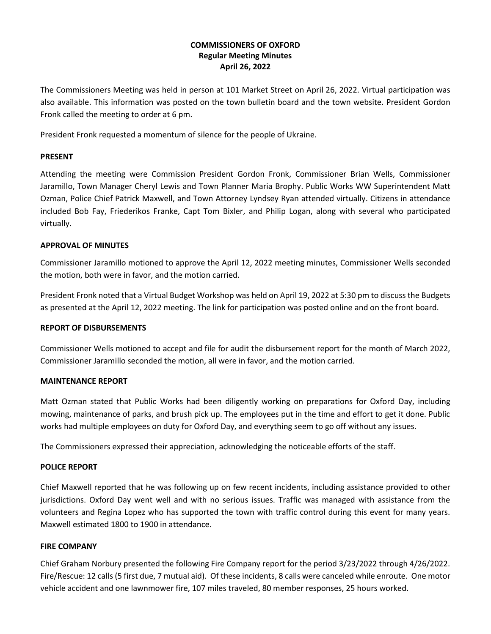# **COMMISSIONERS OF OXFORD Regular Meeting Minutes April 26, 2022**

The Commissioners Meeting was held in person at 101 Market Street on April 26, 2022. Virtual participation was also available. This information was posted on the town bulletin board and the town website. President Gordon Fronk called the meeting to order at 6 pm.

President Fronk requested a momentum of silence for the people of Ukraine.

#### **PRESENT**

Attending the meeting were Commission President Gordon Fronk, Commissioner Brian Wells, Commissioner Jaramillo, Town Manager Cheryl Lewis and Town Planner Maria Brophy. Public Works WW Superintendent Matt Ozman, Police Chief Patrick Maxwell, and Town Attorney Lyndsey Ryan attended virtually. Citizens in attendance included Bob Fay, Friederikos Franke, Capt Tom Bixler, and Philip Logan, along with several who participated virtually.

### **APPROVAL OF MINUTES**

Commissioner Jaramillo motioned to approve the April 12, 2022 meeting minutes, Commissioner Wells seconded the motion, both were in favor, and the motion carried.

President Fronk noted that a Virtual Budget Workshop was held on April 19, 2022 at 5:30 pm to discuss the Budgets as presented at the April 12, 2022 meeting. The link for participation was posted online and on the front board.

### **REPORT OF DISBURSEMENTS**

Commissioner Wells motioned to accept and file for audit the disbursement report for the month of March 2022, Commissioner Jaramillo seconded the motion, all were in favor, and the motion carried.

### **MAINTENANCE REPORT**

Matt Ozman stated that Public Works had been diligently working on preparations for Oxford Day, including mowing, maintenance of parks, and brush pick up. The employees put in the time and effort to get it done. Public works had multiple employees on duty for Oxford Day, and everything seem to go off without any issues.

The Commissioners expressed their appreciation, acknowledging the noticeable efforts of the staff.

### **POLICE REPORT**

Chief Maxwell reported that he was following up on few recent incidents, including assistance provided to other jurisdictions. Oxford Day went well and with no serious issues. Traffic was managed with assistance from the volunteers and Regina Lopez who has supported the town with traffic control during this event for many years. Maxwell estimated 1800 to 1900 in attendance.

### **FIRE COMPANY**

Chief Graham Norbury presented the following Fire Company report for the period 3/23/2022 through 4/26/2022. Fire/Rescue: 12 calls (5 first due, 7 mutual aid). Of these incidents, 8 calls were canceled while enroute. One motor vehicle accident and one lawnmower fire, 107 miles traveled, 80 member responses, 25 hours worked.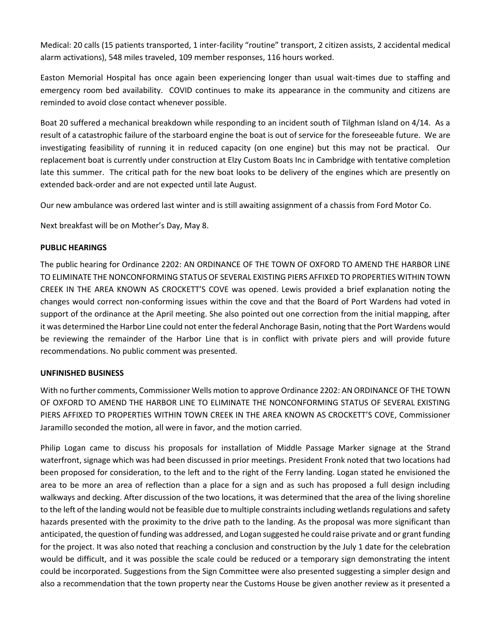Medical: 20 calls (15 patients transported, 1 inter-facility "routine" transport, 2 citizen assists, 2 accidental medical alarm activations), 548 miles traveled, 109 member responses, 116 hours worked.

Easton Memorial Hospital has once again been experiencing longer than usual wait-times due to staffing and emergency room bed availability. COVID continues to make its appearance in the community and citizens are reminded to avoid close contact whenever possible.

Boat 20 suffered a mechanical breakdown while responding to an incident south of Tilghman Island on 4/14. As a result of a catastrophic failure of the starboard engine the boat is out of service for the foreseeable future. We are investigating feasibility of running it in reduced capacity (on one engine) but this may not be practical. Our replacement boat is currently under construction at Elzy Custom Boats Inc in Cambridge with tentative completion late this summer. The critical path for the new boat looks to be delivery of the engines which are presently on extended back-order and are not expected until late August.

Our new ambulance was ordered last winter and is still awaiting assignment of a chassis from Ford Motor Co.

Next breakfast will be on Mother's Day, May 8.

### **PUBLIC HEARINGS**

The public hearing for Ordinance 2202: AN ORDINANCE OF THE TOWN OF OXFORD TO AMEND THE HARBOR LINE TO ELIMINATE THE NONCONFORMING STATUS OF SEVERAL EXISTING PIERS AFFIXED TO PROPERTIES WITHIN TOWN CREEK IN THE AREA KNOWN AS CROCKETT'S COVE was opened. Lewis provided a brief explanation noting the changes would correct non-conforming issues within the cove and that the Board of Port Wardens had voted in support of the ordinance at the April meeting. She also pointed out one correction from the initial mapping, after it was determined the Harbor Line could not enter the federal Anchorage Basin, noting that the Port Wardens would be reviewing the remainder of the Harbor Line that is in conflict with private piers and will provide future recommendations. No public comment was presented.

### **UNFINISHED BUSINESS**

With no further comments, Commissioner Wells motion to approve Ordinance 2202: AN ORDINANCE OF THE TOWN OF OXFORD TO AMEND THE HARBOR LINE TO ELIMINATE THE NONCONFORMING STATUS OF SEVERAL EXISTING PIERS AFFIXED TO PROPERTIES WITHIN TOWN CREEK IN THE AREA KNOWN AS CROCKETT'S COVE, Commissioner Jaramillo seconded the motion, all were in favor, and the motion carried.

Philip Logan came to discuss his proposals for installation of Middle Passage Marker signage at the Strand waterfront, signage which was had been discussed in prior meetings. President Fronk noted that two locations had been proposed for consideration, to the left and to the right of the Ferry landing. Logan stated he envisioned the area to be more an area of reflection than a place for a sign and as such has proposed a full design including walkways and decking. After discussion of the two locations, it was determined that the area of the living shoreline to the left of the landing would not be feasible due to multiple constraints including wetlands regulations and safety hazards presented with the proximity to the drive path to the landing. As the proposal was more significant than anticipated, the question of funding was addressed, and Logan suggested he could raise private and or grant funding for the project. It was also noted that reaching a conclusion and construction by the July 1 date for the celebration would be difficult, and it was possible the scale could be reduced or a temporary sign demonstrating the intent could be incorporated. Suggestions from the Sign Committee were also presented suggesting a simpler design and also a recommendation that the town property near the Customs House be given another review as it presented a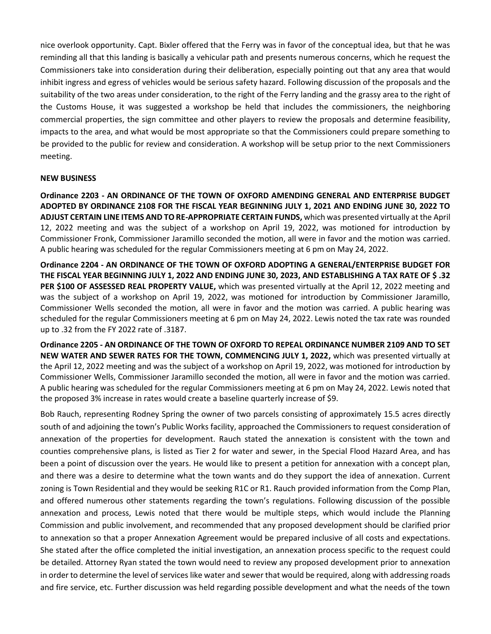nice overlook opportunity. Capt. Bixler offered that the Ferry was in favor of the conceptual idea, but that he was reminding all that this landing is basically a vehicular path and presents numerous concerns, which he request the Commissioners take into consideration during their deliberation, especially pointing out that any area that would inhibit ingress and egress of vehicles would be serious safety hazard. Following discussion of the proposals and the suitability of the two areas under consideration, to the right of the Ferry landing and the grassy area to the right of the Customs House, it was suggested a workshop be held that includes the commissioners, the neighboring commercial properties, the sign committee and other players to review the proposals and determine feasibility, impacts to the area, and what would be most appropriate so that the Commissioners could prepare something to be provided to the public for review and consideration. A workshop will be setup prior to the next Commissioners meeting.

### **NEW BUSINESS**

**Ordinance 2203 - AN ORDINANCE OF THE TOWN OF OXFORD AMENDING GENERAL AND ENTERPRISE BUDGET ADOPTED BY ORDINANCE 2108 FOR THE FISCAL YEAR BEGINNING JULY 1, 2021 AND ENDING JUNE 30, 2022 TO ADJUST CERTAIN LINE ITEMS AND TO RE-APPROPRIATE CERTAIN FUNDS,** which was presented virtually at the April 12, 2022 meeting and was the subject of a workshop on April 19, 2022, was motioned for introduction by Commissioner Fronk, Commissioner Jaramillo seconded the motion, all were in favor and the motion was carried. A public hearing was scheduled for the regular Commissioners meeting at 6 pm on May 24, 2022.

**Ordinance 2204 - AN ORDINANCE OF THE TOWN OF OXFORD ADOPTING A GENERAL/ENTERPRISE BUDGET FOR THE FISCAL YEAR BEGINNING JULY 1, 2022 AND ENDING JUNE 30, 2023, AND ESTABLISHING A TAX RATE OF \$ .32 PER \$100 OF ASSESSED REAL PROPERTY VALUE,** which was presented virtually at the April 12, 2022 meeting and was the subject of a workshop on April 19, 2022, was motioned for introduction by Commissioner Jaramillo, Commissioner Wells seconded the motion, all were in favor and the motion was carried. A public hearing was scheduled for the regular Commissioners meeting at 6 pm on May 24, 2022. Lewis noted the tax rate was rounded up to .32 from the FY 2022 rate of .3187.

**Ordinance 2205 - AN ORDINANCE OF THE TOWN OF OXFORD TO REPEAL ORDINANCE NUMBER 2109 AND TO SET NEW WATER AND SEWER RATES FOR THE TOWN, COMMENCING JULY 1, 2022,** which was presented virtually at the April 12, 2022 meeting and was the subject of a workshop on April 19, 2022, was motioned for introduction by Commissioner Wells, Commissioner Jaramillo seconded the motion, all were in favor and the motion was carried. A public hearing was scheduled for the regular Commissioners meeting at 6 pm on May 24, 2022. Lewis noted that the proposed 3% increase in rates would create a baseline quarterly increase of \$9.

Bob Rauch, representing Rodney Spring the owner of two parcels consisting of approximately 15.5 acres directly south of and adjoining the town's Public Works facility, approached the Commissioners to request consideration of annexation of the properties for development. Rauch stated the annexation is consistent with the town and counties comprehensive plans, is listed as Tier 2 for water and sewer, in the Special Flood Hazard Area, and has been a point of discussion over the years. He would like to present a petition for annexation with a concept plan, and there was a desire to determine what the town wants and do they support the idea of annexation. Current zoning is Town Residential and they would be seeking R1C or R1. Rauch provided information from the Comp Plan, and offered numerous other statements regarding the town's regulations. Following discussion of the possible annexation and process, Lewis noted that there would be multiple steps, which would include the Planning Commission and public involvement, and recommended that any proposed development should be clarified prior to annexation so that a proper Annexation Agreement would be prepared inclusive of all costs and expectations. She stated after the office completed the initial investigation, an annexation process specific to the request could be detailed. Attorney Ryan stated the town would need to review any proposed development prior to annexation in order to determine the level of services like water and sewer that would be required, along with addressing roads and fire service, etc. Further discussion was held regarding possible development and what the needs of the town